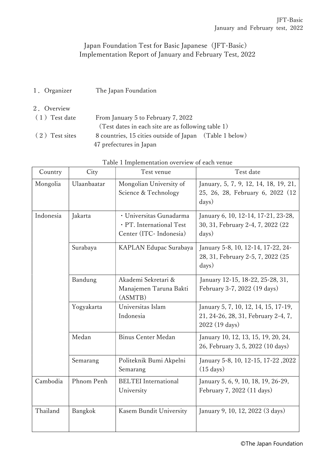## Japan Foundation Test for Basic Japanese (JFT-Basic) Implementation Report of January and February Test, 2022

- 1.Organizer The Japan Foundation
- 2.Overview (1)Test date From January 5 to February 7, 2022 (Test dates in each site are as following table 1)
	- (2)Test sites 8 countries, 15 cities outside of Japan (Table 1 below) 47 prefectures in Japan

| Country   | City        | able 1 implementation overview of each venue<br>Test venue                     | Test date                                                                                     |
|-----------|-------------|--------------------------------------------------------------------------------|-----------------------------------------------------------------------------------------------|
| Mongolia  | Ulaanbaatar | Mongolian University of<br>Science & Technology                                | January, 5, 7, 9, 12, 14, 18, 19, 21,<br>25, 26, 28, February 6, 2022 (12)<br>days)           |
| Indonesia | Jakarta     | · Universitas Gunadarma<br>· PT. International Test<br>Center (ITC- Indonesia) | January 6, 10, 12-14, 17-21, 23-28,<br>30, 31, February 2-4, 7, 2022 (22<br>days)             |
|           | Surabaya    | KAPLAN Edupac Surabaya                                                         | January 5-8, 10, 12-14, 17-22, 24-<br>28, 31, February 2-5, 7, 2022 (25<br>days)              |
|           | Bandung     | Akademi Sekretari &<br>Manajemen Taruna Bakti<br>(ASMTB)                       | January 12-15, 18-22, 25-28, 31,<br>February 3-7, 2022 (19 days)                              |
|           | Yogyakarta  | Universitas Islam<br>Indonesia                                                 | January 5, 7, 10, 12, 14, 15, 17-19,<br>21, 24-26, 28, 31, February 2-4, 7,<br>2022 (19 days) |
|           | Medan       | <b>Binus Center Medan</b>                                                      | January 10, 12, 13, 15, 19, 20, 24,<br>26, February 3, 5, 2022 (10 days)                      |
|           | Semarang    | Politeknik Bumi Akpelni<br>Semarang                                            | January 5-8, 10, 12-15, 17-22, 2022<br>$(15 \text{ days})$                                    |
| Cambodia  | Phnom Penh  | <b>BELTEI</b> International<br>University                                      | January 5, 6, 9, 10, 18, 19, 26-29,<br>February 7, 2022 (11 days)                             |
| Thailand  | Bangkok     | Kasem Bundit University                                                        | January 9, 10, 12, 2022 (3 days)                                                              |

Table 1 Implementation overview of each venue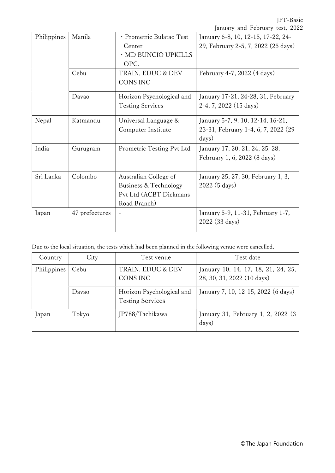|             |                |                                                                                          | January and February test, 2022                                                   |
|-------------|----------------|------------------------------------------------------------------------------------------|-----------------------------------------------------------------------------------|
| Philippines | Manila         | · Prometric Bulatao Test<br>Center<br>· MD BUNCIO UPKILLS                                | January 6-8, 10, 12-15, 17-22, 24-<br>29, February 2-5, 7, 2022 (25 days)         |
|             | Cebu           | OPC.<br>TRAIN, EDUC & DEV<br><b>CONS INC</b>                                             | February 4-7, 2022 (4 days)                                                       |
|             | Davao          | Horizon Psychological and<br><b>Testing Services</b>                                     | January 17-21, 24-28, 31, February<br>$2-4, 7, 2022$ (15 days)                    |
| Nepal       | Katmandu       | Universal Language &<br>Computer Institute                                               | January 5-7, 9, 10, 12-14, 16-21,<br>23-31, February 1-4, 6, 7, 2022 (29<br>days) |
| India       | Gurugram       | Prometric Testing Pvt Ltd                                                                | January 17, 20, 21, 24, 25, 28,<br>February 1, 6, 2022 (8 days)                   |
| Sri Lanka   | Colombo        | Australian College of<br>Business & Technology<br>Pvt Ltd (ACBT Dickmans<br>Road Branch) | January 25, 27, 30, February 1, 3,<br>2022 (5 days)                               |
| Japan       | 47 prefectures |                                                                                          | January 5-9, 11-31, February 1-7,<br>2022 (33 days)                               |

Due to the local situation, the tests which had been planned in the following venue were cancelled.

| Country     | City                                  | Test venue                                           | Test date                                                         |
|-------------|---------------------------------------|------------------------------------------------------|-------------------------------------------------------------------|
| Philippines | Cebu<br>TRAIN, EDUC & DEV<br>CONS INC |                                                      | January 10, 14, 17, 18, 21, 24, 25,<br>28, 30, 31, 2022 (10 days) |
|             | Davao                                 | Horizon Psychological and<br><b>Testing Services</b> | January 7, 10, 12-15, 2022 (6 days)                               |
| Japan       | Tokyo                                 | JP788/Tachikawa                                      | January 31, February 1, 2, 2022 (3)<br>days)                      |